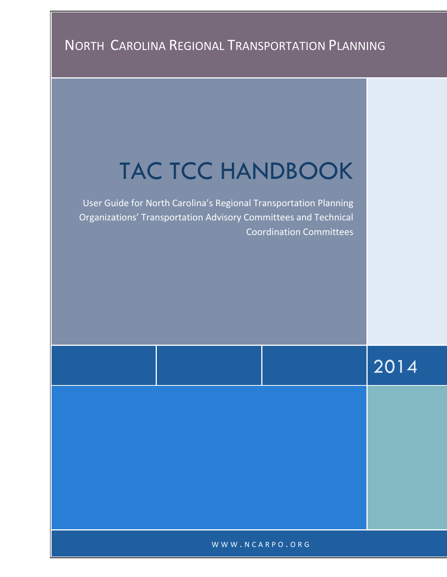# TAC TCC HANDBOOK

User Guide for North Carolina's Regional Transportation Planning Organizations' Transportation Advisory Committees and Technical Coordination Committees

2014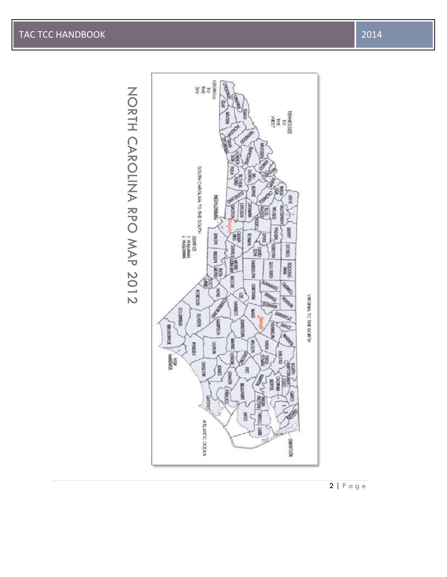NORTH CAROLINA RPO MAP 2012



2 | P a g e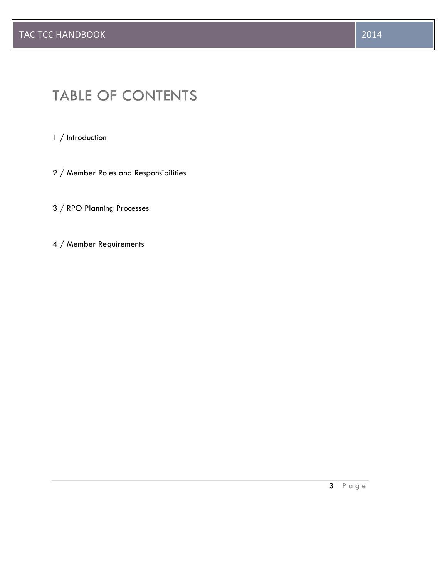1 / Introduction

- 2 / Member Roles and Responsibilities
- 3 / RPO Planning Processes
- 4 / Member Requirements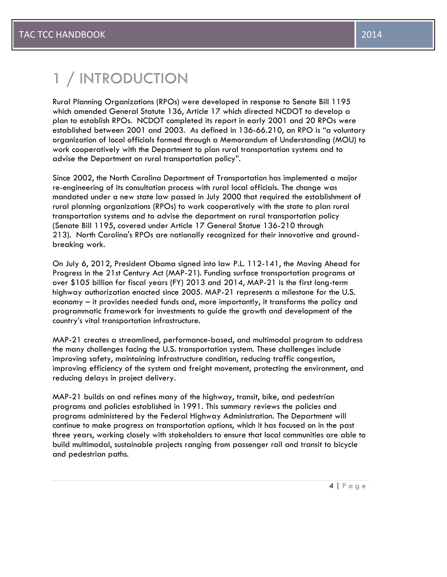# 1 / INTRODUCTION

Rural Planning Organizations (RPOs) were developed in response to Senate Bill 1195 which amended General Statute 136, Article 17 which directed NCDOT to develop a plan to establish RPOs. NCDOT completed its report in early 2001 and 20 RPOs were established between 2001 and 2003. As defined in 136-66.210, an RPO is "a voluntary organization of local officials formed through a Memorandum of Understanding (MOU) to work cooperatively with the Department to plan rural transportation systems and to advise the Department on rural transportation policy".

Since 2002, the North Carolina Department of Transportation has implemented a major re-engineering of its consultation process with rural local officials. The change was mandated under a new state law passed in July 2000 that required the establishment of rural planning organizations (RPOs) to work cooperatively with the state to plan rural transportation systems and to advise the department on rural transportation policy (Senate Bill 1195, covered under Article 17 General Statue 136-210 through 213). North Carolina's RPOs are nationally recognized for their innovative and groundbreaking work.

On July 6, 2012, President Obama signed into law P.L. 112-141, the Moving Ahead for Progress in the 21st Century Act (MAP-21). Funding surface transportation programs at over \$105 billion for fiscal years (FY) 2013 and 2014, MAP-21 is the first long-term highway authorization enacted since 2005. MAP-21 represents a milestone for the U.S. economy – it provides needed funds and, more importantly, it transforms the policy and programmatic framework for investments to guide the growth and development of the country's vital transportation infrastructure.

MAP-21 creates a streamlined, performance-based, and multimodal program to address the many challenges facing the U.S. transportation system. These challenges include improving safety, maintaining infrastructure condition, reducing traffic congestion, improving efficiency of the system and freight movement, protecting the environment, and reducing delays in project delivery.

MAP-21 builds on and refines many of the highway, transit, bike, and pedestrian programs and policies established in 1991. This summary reviews the policies and programs administered by the Federal Highway Administration. The Department will continue to make progress on transportation options, which it has focused on in the past three years, working closely with stakeholders to ensure that local communities are able to build multimodal, sustainable projects ranging from passenger rail and transit to bicycle and pedestrian paths.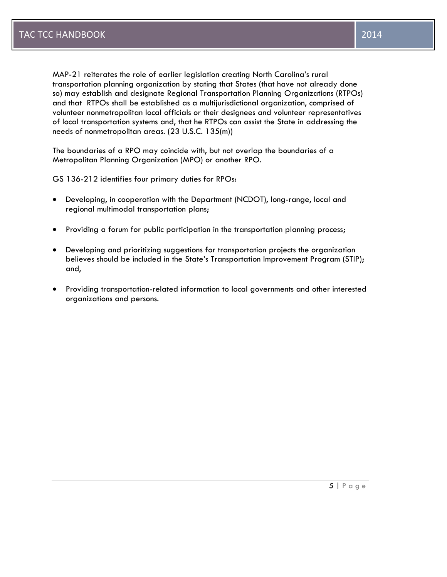MAP-21 reiterates the role of earlier legislation creating North Carolina's rural transportation planning organization by stating that States (that have not already done so) may establish and designate Regional Transportation Planning Organizations (RTPOs) and that RTPOs shall be established as a multijurisdictional organization, comprised of volunteer nonmetropolitan local officials or their designees and volunteer representatives of local transportation systems and, that he RTPOs can assist the State in addressing the needs of nonmetropolitan areas. (23 U.S.C. 135(m))

The boundaries of a RPO may coincide with, but not overlap the boundaries of a Metropolitan Planning Organization (MPO) or another RPO.

GS 136-212 identifies four primary duties for RPOs:

- Developing, in cooperation with the Department (NCDOT), long-range, local and regional multimodal transportation plans;
- Providing a forum for public participation in the transportation planning process;
- Developing and prioritizing suggestions for transportation projects the organization believes should be included in the State's Transportation Improvement Program (STIP); and,
- Providing transportation-related information to local governments and other interested organizations and persons.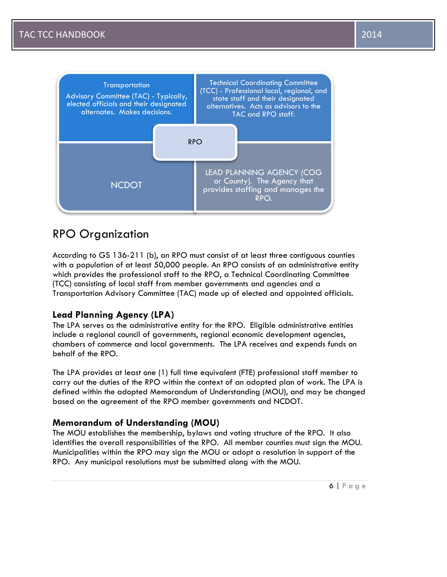



# RPO Organization

According to GS 136-211 (b), an RPO must consist of at least three contiguous counties with a population of at least 50,000 people. An RPO consists of an administrative entity which provides the professional staff to the RPO, a Technical Coordinating Committee (TCC) consisting of local staff from member governments and agencies and a Transportation Advisory Committee (TAC) made up of elected and appointed officials.

# **Lead Planning Agency (LPA)**

The LPA serves as the administrative entity for the RPO. Eligible administrative entities include a regional council of governments, regional economic development agencies, chambers of commerce and local governments. The LPA receives and expends funds on behalf of the RPO.

The LPA provides at least one (1) full time equivalent (FTE) professional staff member to carry out the duties of the RPO within the context of an adopted plan of work. The LPA is defined within the adopted Memorandum of Understanding (MOU), and may be changed based on the agreement of the RPO member governments and NCDOT.

# **Memorandum of Understanding (MOU)**

The MOU establishes the membership, bylaws and voting structure of the RPO. It also identifies the overall responsibilities of the RPO. All member counties must sign the MOU. Municipalities within the RPO may sign the MOU or adopt a resolution in support of the RPO. Any municipal resolutions must be submitted along with the MOU.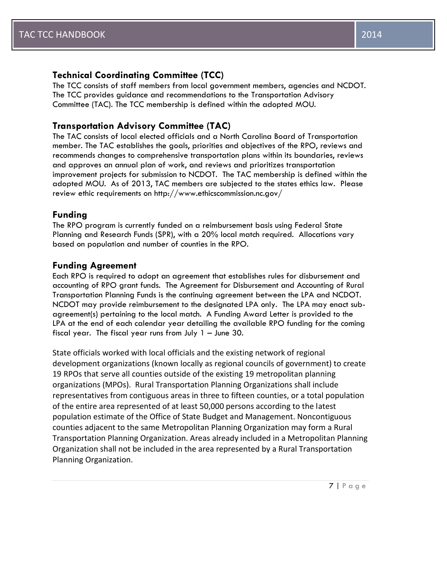# **Technical Coordinating Committee (TCC)**

The TCC consists of staff members from local government members, agencies and NCDOT. The TCC provides guidance and recommendations to the Transportation Advisory Committee (TAC). The TCC membership is defined within the adopted MOU.

# **Transportation Advisory Committee (TAC)**

The TAC consists of local elected officials and a North Carolina Board of Transportation member. The TAC establishes the goals, priorities and objectives of the RPO, reviews and recommends changes to comprehensive transportation plans within its boundaries, reviews and approves an annual plan of work, and reviews and prioritizes transportation improvement projects for submission to NCDOT. The TAC membership is defined within the adopted MOU. As of 2013, TAC members are subjected to the states ethics law. Please review ethic requirements on http://www.ethicscommission.nc.gov/

# **Funding**

The RPO program is currently funded on a reimbursement basis using Federal State Planning and Research Funds (SPR), with a 20% local match required. Allocations vary based on population and number of counties in the RPO.

# **Funding Agreement**

Each RPO is required to adopt an agreement that establishes rules for disbursement and accounting of RPO grant funds. The Agreement for Disbursement and Accounting of Rural Transportation Planning Funds is the continuing agreement between the LPA and NCDOT. NCDOT may provide reimbursement to the designated LPA only. The LPA may enact subagreement(s) pertaining to the local match. A Funding Award Letter is provided to the LPA at the end of each calendar year detailing the available RPO funding for the coming fiscal year. The fiscal year runs from July 1 – June 30.

State officials worked with local officials and the existing network of regional development organizations (known locally as regional councils of government) to create 19 RPOs that serve all counties outside of the existing 19 metropolitan planning organizations (MPOs). Rural Transportation Planning Organizations shall include representatives from contiguous areas in three to fifteen counties, or a total population of the entire area represented of at least 50,000 persons according to the latest population estimate of the Office of State Budget and Management. Noncontiguous counties adjacent to the same Metropolitan Planning Organization may form a Rural Transportation Planning Organization. Areas already included in a Metropolitan Planning Organization shall not be included in the area represented by a Rural Transportation Planning Organization.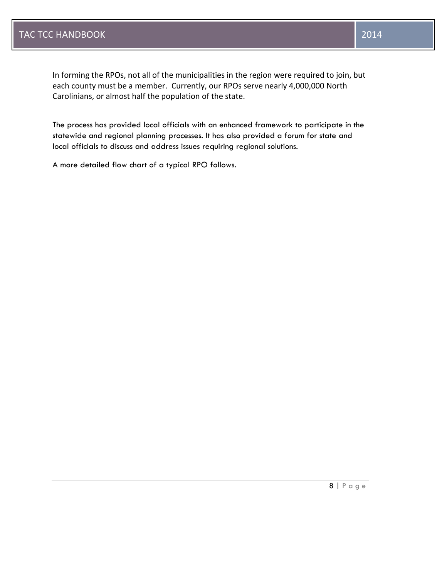In forming the RPOs, not all of the municipalities in the region were required to join, but each county must be a member. Currently, our RPOs serve nearly 4,000,000 North Carolinians, or almost half the population of the state.

The process has provided local officials with an enhanced framework to participate in the statewide and regional planning processes. It has also provided a forum for state and local officials to discuss and address issues requiring regional solutions.

A more detailed flow chart of a typical RPO follows.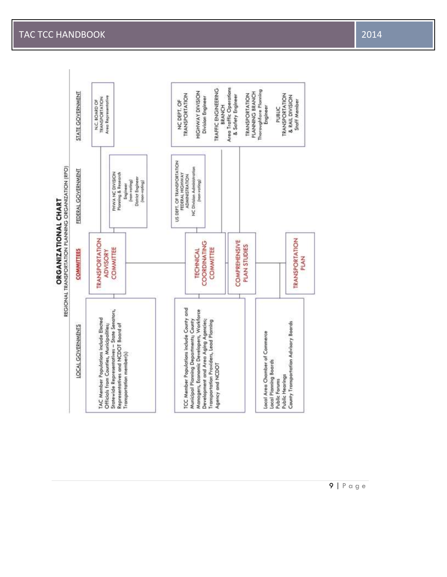# **ORGANIZATIONAL CHART**



# TAC TCC HANDBOOK 2014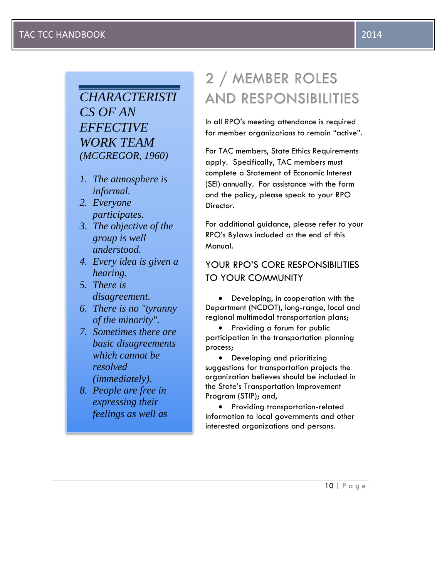# *CHARACTERISTI CS OF AN EFFECTIVE WORK TEAM (MCGREGOR, 1960)*

- *1. The atmosphere is informal.*
- *2. Everyone participates.*
- *3. The objective of the group is well understood.*
- *4. Every idea is given a hearing.*
- *5. There is disagreement.*
- *6. There is no "tyranny of the minority".*
- *7. Sometimes there are basic disagreements which cannot be resolved (immediately).*
- *8. People are free in expressing their feelings as well as*

*9. When action is* 

*10.The chairman of the* 

# 2 / MEMBER ROLES **AND RESPONSIBILITIES**

In all RPO's meeting attendance is required for member organizations to remain "active".

For TAC members, State Ethics Requirements apply. Specifically, TAC members must complete a Statement of Economic Interest (SEI) annually. For assistance with the form and the policy, please speak to your RPO Director.

For additional guidance, please refer to your RPO's Bylaws included at the end of this Manual.

# YOUR RPO'S CORE RESPONSIBILITIES TO YOUR COMMUNITY

• Developing, in cooperation with the Department (NCDOT), long-range, local and regional multimodal transportation plans;

 Providing a forum for public participation in the transportation planning process;

• Developing and prioritizing suggestions for transportation projects the organization believes should be included in the State's Transportation Improvement Program (STIP); and,

• Providing transportation-related information to local governments and other interested organizations and persons.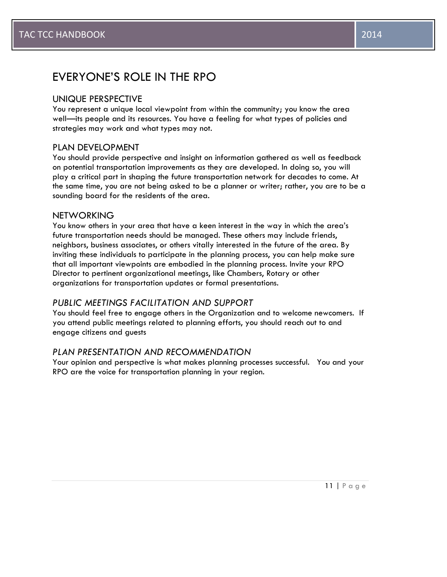# EVERYONE'S ROLE IN THE RPO

# UNIQUE PERSPECTIVE

You represent a unique local viewpoint from within the community; you know the area well—its people and its resources. You have a feeling for what types of policies and strategies may work and what types may not.

# PLAN DEVELOPMENT

You should provide perspective and insight on information gathered as well as feedback on potential transportation improvements as they are developed. In doing so, you will play a critical part in shaping the future transportation network for decades to come. At the same time, you are not being asked to be a planner or writer; rather, you are to be a sounding board for the residents of the area.

# **NETWORKING**

You know others in your area that have a keen interest in the way in which the area's future transportation needs should be managed. These others may include friends, neighbors, business associates, or others vitally interested in the future of the area. By inviting these individuals to participate in the planning process, you can help make sure that all important viewpoints are embodied in the planning process. Invite your RPO Director to pertinent organizational meetings, like Chambers, Rotary or other organizations for transportation updates or formal presentations.

# *PUBLIC MEETINGS FACILITATION AND SUPPORT*

You should feel free to engage others in the Organization and to welcome newcomers. If you attend public meetings related to planning efforts, you should reach out to and engage citizens and guests

# *PLAN PRESENTATION AND RECOMMENDATION*

Your opinion and perspective is what makes planning processes successful. You and your RPO are the voice for transportation planning in your region.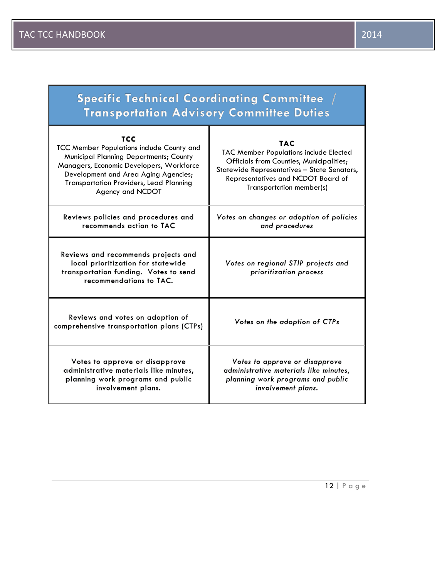Г

| Specific Technical Coordinating Committee /<br><b>Transportation Advisory Committee Duties</b>                                                                                                                                                                     |                                                                                                                                                                                                                   |
|--------------------------------------------------------------------------------------------------------------------------------------------------------------------------------------------------------------------------------------------------------------------|-------------------------------------------------------------------------------------------------------------------------------------------------------------------------------------------------------------------|
| <b>TCC</b><br>TCC Member Populations include County and<br><b>Municipal Planning Departments; County</b><br>Managers, Economic Developers, Workforce<br>Development and Area Aging Agencies;<br><b>Transportation Providers, Lead Planning</b><br>Agency and NCDOT | <b>TAC</b><br>TAC Member Populations include Elected<br>Officials from Counties, Municipalities;<br>Statewide Representatives - State Senators,<br>Representatives and NCDOT Board of<br>Transportation member(s) |
| Reviews policies and procedures and<br>recommends action to TAC                                                                                                                                                                                                    | Votes on changes or adoption of policies<br>and procedures                                                                                                                                                        |
| Reviews and recommends projects and<br>local prioritization for statewide<br>transportation funding. Votes to send<br>recommendations to TAC.                                                                                                                      | Votes on regional STIP projects and<br>prioritization process                                                                                                                                                     |
| Reviews and votes on adoption of<br>comprehensive transportation plans (CTPs)                                                                                                                                                                                      | Votes on the adoption of CTPs                                                                                                                                                                                     |
| Votes to approve or disapprove<br>administrative materials like minutes,<br>planning work programs and public<br>involvement plans.                                                                                                                                | Votes to approve or disapprove<br>administrative materials like minutes,<br>planning work programs and public<br>involvement plans.                                                                               |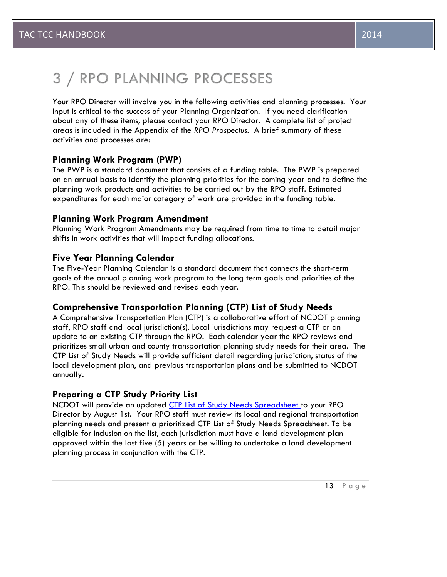# 3 / RPO PLANNING PROCESSES

Your RPO Director will involve you in the following activities and planning processes. Your input is critical to the success of your Planning Organization. If you need clarification about any of these items, please contact your RPO Director. A complete list of project areas is included in the Appendix of the *RPO Prospectus*. A brief summary of these activities and processes are:

# **Planning Work Program (PWP)**

The PWP is a standard document that consists of a funding table. The PWP is prepared on an annual basis to identify the planning priorities for the coming year and to define the planning work products and activities to be carried out by the RPO staff. Estimated expenditures for each major category of work are provided in the funding table.

# **Planning Work Program Amendment**

Planning Work Program Amendments may be required from time to time to detail major shifts in work activities that will impact funding allocations.

# **Five Year Planning Calendar**

The Five-Year Planning Calendar is a standard document that connects the short-term goals of the annual planning work program to the long term goals and priorities of the RPO. This should be reviewed and revised each year.

# **Comprehensive Transportation Planning (CTP) List of Study Needs**

A Comprehensive Transportation Plan (CTP) is a collaborative effort of NCDOT planning staff, RPO staff and local jurisdiction(s). Local jurisdictions may request a CTP or an update to an existing CTP through the RPO. Each calendar year the RPO reviews and prioritizes small urban and county transportation planning study needs for their area. The CTP List of Study Needs will provide sufficient detail regarding jurisdiction, status of the local development plan, and previous transportation plans and be submitted to NCDOT annually.

# **Preparing a CTP Study Priority List**

NCDOT will provide an updated CTP List of Study Needs Spreadsheet to your RPO Director by August 1st. Your RPO staff must review its local and regional transportation planning needs and present a prioritized CTP List of Study Needs Spreadsheet. To be eligible for inclusion on the list, each jurisdiction must have a land development plan approved within the last five (5) years or be willing to undertake a land development planning process in conjunction with the CTP.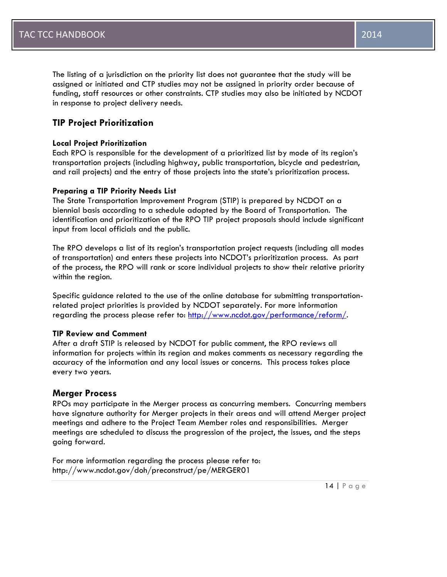The listing of a jurisdiction on the priority list does not guarantee that the study will be assigned or initiated and CTP studies may not be assigned in priority order because of funding, staff resources or other constraints. CTP studies may also be initiated by NCDOT in response to project delivery needs.

# **TIP Project Prioritization**

# **Local Project Prioritization**

Each RPO is responsible for the development of a prioritized list by mode of its region's transportation projects (including highway, public transportation, bicycle and pedestrian, and rail projects) and the entry of those projects into the state's prioritization process.

# **Preparing a TIP Priority Needs List**

The State Transportation Improvement Program (STIP) is prepared by NCDOT on a biennial basis according to a schedule adopted by the Board of Transportation. The identification and prioritization of the RPO TIP project proposals should include significant input from local officials and the public.

The RPO develops a list of its region's transportation project requests (including all modes of transportation) and enters these projects into NCDOT's prioritization process. As part of the process, the RPO will rank or score individual projects to show their relative priority within the region.

Specific guidance related to the use of the online database for submitting transportationrelated project priorities is provided by NCDOT separately. For more information regarding the process please refer to: [http://www.ncdot.gov/performance/reform/.](http://www.ncdot.gov/performance/reform/)

# **TIP Review and Comment**

After a draft STIP is released by NCDOT for public comment, the RPO reviews all information for projects within its region and makes comments as necessary regarding the accuracy of the information and any local issues or concerns. This process takes place every two years.

# **Merger Process**

RPOs may participate in the Merger process as concurring members. Concurring members have signature authority for Merger projects in their areas and will attend Merger project meetings and adhere to the Project Team Member roles and responsibilities. Merger meetings are scheduled to discuss the progression of the project, the issues, and the steps going forward.

For more information regarding the process please refer to: http://www.ncdot.gov/doh/preconstruct/pe/MERGER01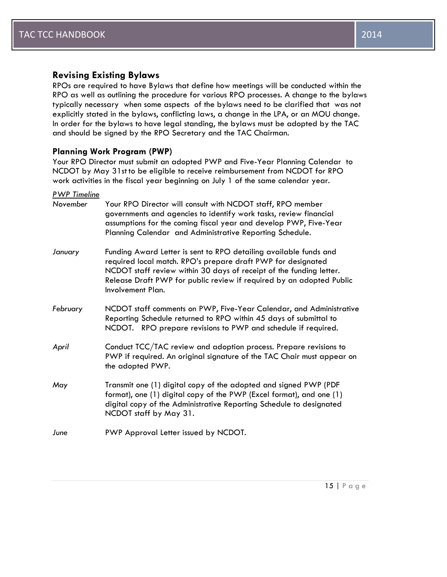# **Revising Existing Bylaws**

RPOs are required to have Bylaws that define how meetings will be conducted within the RPO as well as outlining the procedure for various RPO processes. A change to the bylaws typically necessary when some aspects of the bylaws need to be clarified that was not explicitly stated in the bylaws, conflicting laws, a change in the LPA, or an MOU change. In order for the bylaws to have legal standing, the bylaws must be adopted by the TAC and should be signed by the RPO Secretary and the TAC Chairman.

# **Planning Work Program (PWP)**

Your RPO Director must submit an adopted PWP and [Five-Year Planning Calendar](file://DOT/DFSROOT01/GROUPS-TPBTRB/Shared/TPB%20Temporary/WEB_update/RPO%20Manual%202012/Five_Year_Planning_Calendar_Example.doc) to NCDOT by May 31st to be eligible to receive reimbursement from NCDOT for RPO work activities in the fiscal year beginning on July 1 of the same calendar year.

*PWP Timeline November* Your RPO Director will *c*onsult with NCDOT staff, RPO member governments and agencies to identify work tasks, review financial assumptions for the coming fiscal year and develop [PWP,](file://DOT/DFSROOT01/GROUPS-TPBTRB/Shared/TPB%20Temporary/WEB_update/RPO%20Manual%202012/PWP_Invoice_Amendment_Templates.xlsx) [Five-Year](file://DOT/DFSROOT01/GROUPS-TPBTRB/Shared/TPB%20Temporary/WEB_update/RPO%20Manual%202012/Five_Year_Planning_Calendar_Example.doc)  [Planning Calendar a](file://DOT/DFSROOT01/GROUPS-TPBTRB/Shared/TPB%20Temporary/WEB_update/RPO%20Manual%202012/Five_Year_Planning_Calendar_Example.doc)nd Administrative Reporting Schedule. *January* Funding Award Letter is sent to RPO detailing available funds and required local match. RPO's prepare draft PWP for designated NCDOT staff review within 30 days of receipt of the funding letter. Release Draft PWP for public review if required by an adopted Public Involvement Plan. *February* NCDOT staff comments on PWP, Five-Year Calendar, and Administrative Reporting Schedule returned to RPO within 45 days of submittal to NCDOT. RPO prepare revisions to PWP and schedule if required. *April* Conduct TCC/TAC review and adoption process. Prepare revisions to PWP if required. An original signature of the TAC Chair must appear on the adopted PWP. *May* Transmit one (1) digital copy of the adopted and signed PWP (PDF format), one (1) digital copy of the PWP (Excel format), and one (1) digital copy of the Administrative Reporting Schedule to designated NCDOT staff by May 31. *June* PWP Approval Letter issued by NCDOT.